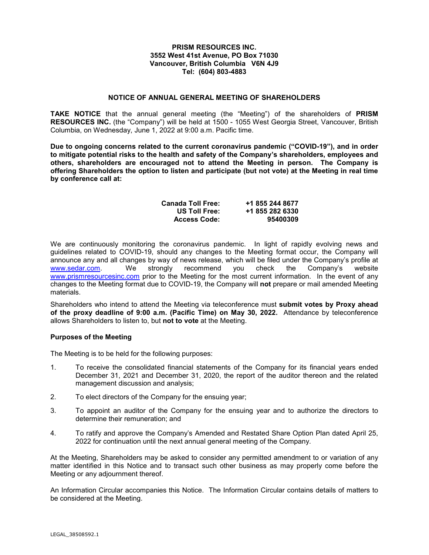## **PRISM RESOURCES INC. 3552 West 41st Avenue, PO Box 71030 Vancouver, British Columbia V6N 4J9 Tel: (604) 803-4883**

## **NOTICE OF ANNUAL GENERAL MEETING OF SHAREHOLDERS**

**TAKE NOTICE** that the annual general meeting (the "Meeting") of the shareholders of **PRISM RESOURCES INC.** (the "Company") will be held at 1500 - 1055 West Georgia Street, Vancouver, British Columbia, on Wednesday, June 1, 2022 at 9:00 a.m. Pacific time.

**Due to ongoing concerns related to the current coronavirus pandemic ("COVID-19"), and in order to mitigate potential risks to the health and safety of the Company's shareholders, employees and others, shareholders are encouraged not to attend the Meeting in person. The Company is offering Shareholders the option to listen and participate (but not vote) at the Meeting in real time by conference call at:**

| <b>Canada Toll Free:</b> | +1 855 244 8677 |
|--------------------------|-----------------|
| US Toll Free:            | +1 855 282 6330 |
| <b>Access Code:</b>      | 95400309        |

We are continuously monitoring the coronavirus pandemic. In light of rapidly evolving news and guidelines related to COVID-19, should any changes to the Meeting format occur, the Company will announce any and all changes by way of news release, which will be filed under the Company's profile at [www.sedar.com.](http://www.sedar.com/) We strongly recommend you check the Company's website [www.prismresourcesinc.com](http://www.prismresourcesinc.com/) prior to the Meeting for the most current information. In the event of any changes to the Meeting format due to COVID-19, the Company will **not** prepare or mail amended Meeting materials.

Shareholders who intend to attend the Meeting via teleconference must **submit votes by Proxy ahead of the proxy deadline of 9:00 a.m. (Pacific Time) on May 30, 2022.** Attendance by teleconference allows Shareholders to listen to, but **not to vote** at the Meeting.

## **Purposes of the Meeting**

The Meeting is to be held for the following purposes:

- 1. To receive the consolidated financial statements of the Company for its financial years ended December 31, 2021 and December 31, 2020, the report of the auditor thereon and the related management discussion and analysis;
- 2. To elect directors of the Company for the ensuing year;
- 3. To appoint an auditor of the Company for the ensuing year and to authorize the directors to determine their remuneration; and
- 4. To ratify and approve the Company's Amended and Restated Share Option Plan dated April 25, 2022 for continuation until the next annual general meeting of the Company.

At the Meeting, Shareholders may be asked to consider any permitted amendment to or variation of any matter identified in this Notice and to transact such other business as may properly come before the Meeting or any adjournment thereof.

An Information Circular accompanies this Notice. The Information Circular contains details of matters to be considered at the Meeting.